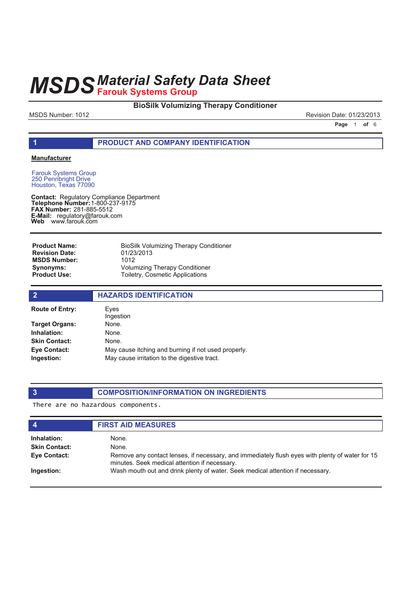# **BioSilk Volumizing Therapy Conditioner**

MSDS Number: 1012 23/2013

**Page 1 of 6** 

### **1 PRODUCT AND COMPANY IDENTIFICATION**

### **Manufacturer**

Farouk Systems Group 250 Pennbright Drive Houston, Texas 77090

**Contact: Telephone Number: FAX Number:** 281-885-5512 **E-Mail: Web** Regulatory Compliance Department 1-800-237-9175 regulatory@farouk.com www.farouk.com

BioSilk Volumizing Therapy Conditioner 01/23/2013 1012 Volumizing Therapy Conditioner Toiletry, Cosmetic Applications **Product Name: Revision Date: MSDS Number: Synonyms: Product Use:**

| $\overline{2}$         | <b>HAZARDS IDENTIFICATION</b>                       |
|------------------------|-----------------------------------------------------|
| <b>Route of Entry:</b> | Eves<br>Ingestion                                   |
| Target Organs:         | None.                                               |
| Inhalation:            | None.                                               |
| <b>Skin Contact:</b>   | None.                                               |
| Eye Contact:           | May cause itching and burning if not used properly. |
| Ingestion:             | May cause irritation to the digestive tract.        |

# **3 COMPOSITION/INFORMATION ON INGREDIENTS**

There are no hazardous components.

| $\boldsymbol{4}$     | <b>FIRST AID MEASURES</b>                                                                                                                        |  |
|----------------------|--------------------------------------------------------------------------------------------------------------------------------------------------|--|
| Inhalation:          | None.                                                                                                                                            |  |
| <b>Skin Contact:</b> | None.                                                                                                                                            |  |
| Eye Contact:         | Remove any contact lenses, if necessary, and immediately flush eyes with plenty of water for 15<br>minutes. Seek medical attention if necessary. |  |
| Ingestion:           | Wash mouth out and drink plenty of water. Seek medical attention if necessary.                                                                   |  |
|                      |                                                                                                                                                  |  |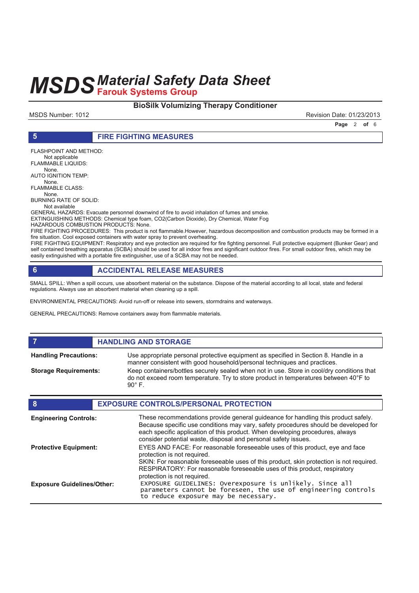# **BioSilk Volumizing Therapy Conditioner**

MSDS Number: 1012 **Revision Date: 01/23/2013** 

**Page 2 of 6** 

FLASHPOINT AND METHOD: Not applicable FLAMMABLE LIQUIDS: None. AUTO IGNITION TEMP: None. FLAMMABLE CLASS: None. BURNING RATE OF SOLID: Not available

GENERAL HAZARDS: Evacuate personnel downwind of fire to avoid inhalation of fumes and smoke.

EXTINGUISHING METHODS: Chemical type foam, CO2(Carbon Dioxide), Dry Chemical, Water Fog HAZARDOUS COMBUSTION PRODUCTS: None.

**5 FIRE FIGHTING MEASURES**

FIRE FIGHTING PROCEDURES: This product is not flammable.However, hazardous decomposition and combustion products may be formed in a fire situation. Cool exposed containers with water spray to prevent overheating.

FIRE FIGHTING EQUIPMENT: Respiratory and eye protection are required for fire fighting personnel. Full protective equipment (Bunker Gear) and self contained breathing apparatus (SCBA) should be used for all indoor fires and significant outdoor fires. For small outdoor fires, which may be easily extinguished with a portable fire extinguisher, use of a SCBA may not be needed.

# **6 ACCIDENTAL RELEASE MEASURES**

SMALL SPILL: When a spill occurs, use absorbent material on the substance. Dispose of the material according to all local, state and federal regulations. Always use an absorbent material when cleaning up a spill.

ENVIRONMENTAL PRECAUTIONS: Avoid run-off or release into sewers, stormdrains and waterways.

GENERAL PRECAUTIONS: Remove containers away from flammable materials.

# *HANDLING AND STORAGE*

**Handling Precautions:**

**Storage Requirements:**

Use appropriate personal protective equipment as specified in Section 8. Handle in a manner consistent with good household/personal techniques and practices. Keep containers/bottles securely sealed when not in use. Store in cool/dry conditions that do not exceed room temperature. Try to store product in temperatures between 40°F to 90° F.

| 8                                 | <b>EXPOSURE CONTROLS/PERSONAL PROTECTION</b>                                                                                                                                                                                                                                                                                |
|-----------------------------------|-----------------------------------------------------------------------------------------------------------------------------------------------------------------------------------------------------------------------------------------------------------------------------------------------------------------------------|
| <b>Engineering Controls:</b>      | These recommendations provide general guideance for handling this product safely.<br>Because specific use conditions may vary, safety procedures should be developed for<br>each specific application of this product. When developing procedures, always<br>consider potential waste, disposal and personal safety issues. |
| <b>Protective Equipment:</b>      | EYES AND FACE: For reasonable foreseeable uses of this product, eye and face<br>protection is not required.                                                                                                                                                                                                                 |
|                                   | SKIN: For reasonable foreseeable uses of this product, skin protection is not required.<br>RESPIRATORY: For reasonable foreseeable uses of this product, respiratory<br>protection is not required.                                                                                                                         |
| <b>Exposure Guidelines/Other:</b> | EXPOSURE GUIDELINES: Overexposure is unlikely. Since all parameters cannot be foreseen, the use of engineering controls<br>to reduce exposure may be necessary.                                                                                                                                                             |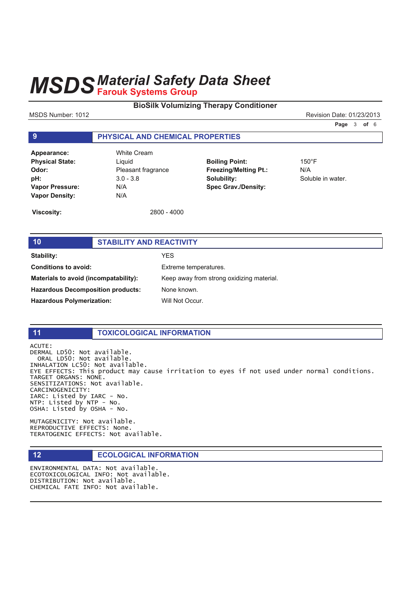# **BioSilk Volumizing Therapy Conditioner**

MSDS Number: 1012 2013 2013 2014 2012 2013 2014 2012 2013 2014 2012 2013 2014 2012 2013

**Page 3 of 6** 

**9 PHYSICAL AND CHEMICAL PROPERTIES** 

| Appearance:            | Whi  |
|------------------------|------|
| <b>Physical State:</b> | Ligu |
| Odor:                  | Plea |
| pH:                    | 3.0  |
| <b>Vapor Pressure:</b> | N/A  |
| <b>Vapor Density:</b>  | N/A  |

**Appearance:** White Cream Liquid **Odor:** Pleasant fragrance **pH:** 3.0 - 3.8

**Boiling Point:** 150°F **Freezing/Melting Pt.:** N/A **Solubility:** Soluble in water. **Spec Grav./Density:**

**Viscosity:** 2800 - 4000

# **10 STABILITY AND REACTIVITY**

**Stability:** YES **Conditions to avoid:** Extreme temperatures. **Materials to avoid (incompatability):** Keep away from strong oxidizing material. **Hazardous Decomposition products:** None known. Hazardous Polymerization: Will Not Occur.

# **11 TOXICOLOGICAL INFORMATION**

ACUTE: DERMAL LD50: Not available. ORAL LD50: Not available. INHALATION LC50: Not available. EYE EFFECTS: This product may cause irritation to eyes if not used under normal conditions. TARGET ORGANS: NONE. SENSITIZATIONS: Not available. CARCINOGENICITY: IARC: Listed by IARC - No.  $NTP:$  Listed by  $NTP - NO$ . OSHA: Listed by OSHA - No.

MUTAGENICITY: Not available. REPRODUCTIVE EFFECTS: None. TERATOGENIC EFFECTS: Not available.

# **12 ECOLOGICAL INFORMATION**

ENVIRONMENTAL DATA: Not available. ECOTOXICOLOGICAL INFO: Not available. DISTRIBUTION: Not available. CHEMICAL FATE INFO: Not available.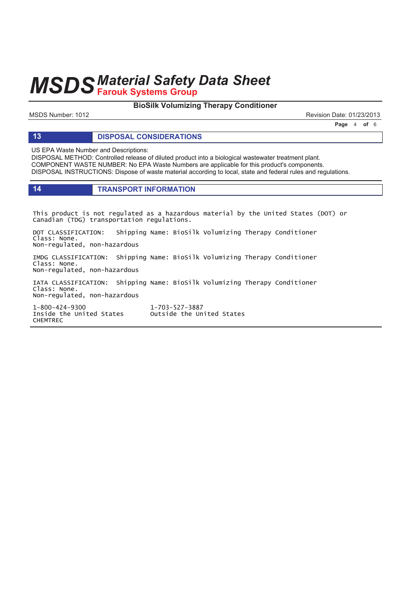# **BioSilk Volumizing Therapy Conditioner**

MSDS Number: 1012 2013 2013 2014 2012 2013 2014 2012 2013 2014 2012 2013 2014 2012 2013

**Page 4 of 6** 

### **13 DISPOSAL CONSIDERATIONS**

US EPA Waste Number and Descriptions:

DISPOSAL METHOD: Controlled release of diluted product into a biological wastewater treatment plant. COMPONENT WASTE NUMBER: No EPA Waste Numbers are applicable for this product's components. DISPOSAL INSTRUCTIONS: Dispose of waste material according to local, state and federal rules and regulations.

### **14 TRANSPORT INFORMATION**

This product is not regulated as a hazardous material by the United States (DOT) or Canadian (TDG) transportation regulations.

DOT CLASSIFICATION: Shipping Name: BioSilk Volumizing Therapy Conditioner Class: None. Non-regulated, non-hazardous

IMDG CLASSIFICATION: Shipping Name: BioSilk Volumizing Therapy Conditioner Class: None. Non-regulated, non-hazardous

IATA CLASSIFICATION: Shipping Name: BioSilk Volumizing Therapy Conditioner Class: None. Non-regulated, non-hazardous

1-800-424-9300 1 Inside the United States outside the United States **CHEMTREC** 

1-703-527-3887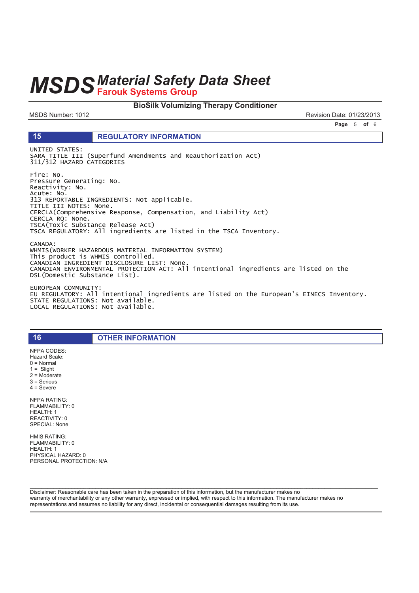# **MSDS Material Safety Data Sheet**

### **BioSilk Volumizing Therapy Conditioner**

MSDS Number: 1012

15

Revision Date: 01/23/2013

Page 5 of 6

### **REGULATORY INFORMATION**

UNITED STATES: SARA TITLE III (Superfund Amendments and Reauthorization Act) 311/312 HAZARD CATEGORIES

Fire: No. Pressure Generating: No. Reactivity: No. Acute: No.<br>313 REPORTABLE INGREDIENTS: Not applicable. TITLE III NOTES: None. CERCLA(Comprehensive Response, Compensation, and Liability Act) CERCLA RQ: None. TSCA(Toxic Substance Release Act) TSCA REGULATORY: All ingredients are listed in the TSCA Inventory. CANADA: WHMIS(WORKER HAZARDOUS MATERIAL INFORMATION SYSTEM)

This product is WHMIS controlled. CANADIAN INGREDIENT DISCLOSURE LIST: None. CANADIAN ENVIRONMENTAL PROTECTION ACT: All intentional ingredients are listed on the<br>DSL(Domestic Substance List).

EUROPEAN COMMUNITY: EU REGULATORY: All intentional ingredients are listed on the European's EINECS Inventory. STATE REGULATIONS: Not available. LOCAL REGULATIONS: Not available.

**OTHER INFORMATION** 

NFPA CODES: Hazard Scale:  $0 = \text{Normal}$  $1 =$  Slight  $2 =$  Moderate  $3 =$  Serious  $4 =$  Severe **NFPA RATING:** FLAMMABILITY: 0 HEALTH: 1 REACTIVITY: 0 SPECIAL: None

16

**HMIS RATING:** FLAMMABILITY: 0 HEALTH: 1 PHYSICAL HAZARD: 0 PERSONAL PROTECTION: N/A

Disclaimer: Reasonable care has been taken in the preparation of this information, but the manufacturer makes no warranty of merchantability or any other warranty, expressed or implied, with respect to this information. The manufacturer makes no representations and assumes no liability for any direct, incidental or consequential damages resulting from its use.